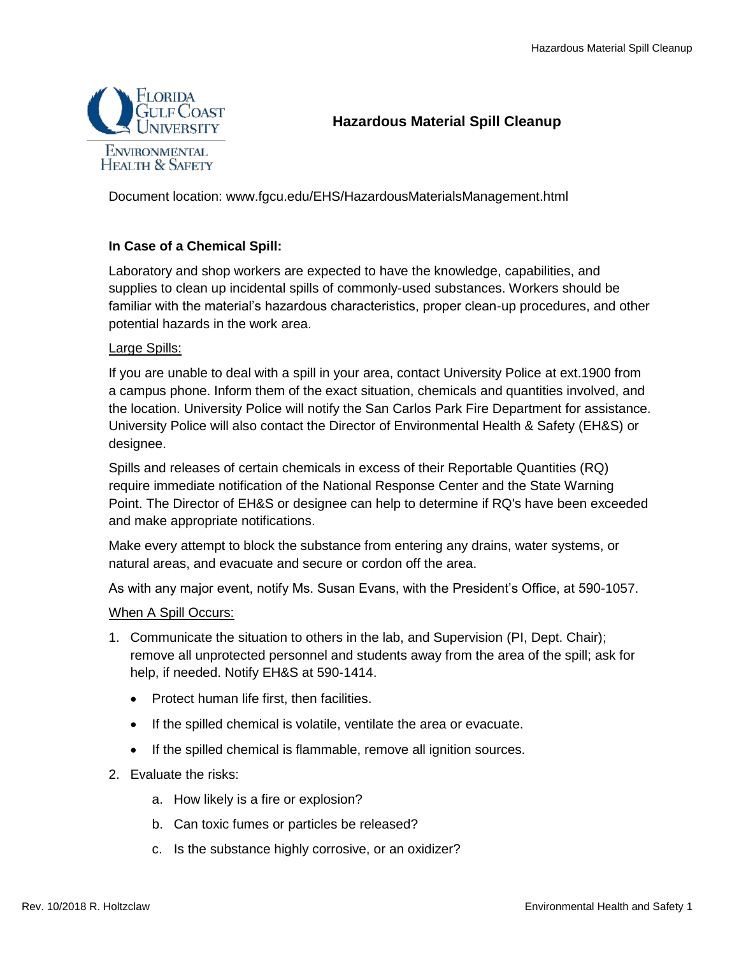

# **Hazardous Material Spill Cleanup**

Document location: www.fgcu.edu/EHS/HazardousMaterialsManagement.html

## **In Case of a Chemical Spill:**

Laboratory and shop workers are expected to have the knowledge, capabilities, and supplies to clean up incidental spills of commonly-used substances. Workers should be familiar with the material's hazardous characteristics, proper clean-up procedures, and other potential hazards in the work area.

### Large Spills:

If you are unable to deal with a spill in your area, contact University Police at ext.1900 from a campus phone. Inform them of the exact situation, chemicals and quantities involved, and the location. University Police will notify the San Carlos Park Fire Department for assistance. University Police will also contact the Director of Environmental Health & Safety (EH&S) or designee.

Spills and releases of certain chemicals in excess of their Reportable Quantities (RQ) require immediate notification of the National Response Center and the State Warning Point. The Director of EH&S or designee can help to determine if RQ's have been exceeded and make appropriate notifications.

Make every attempt to block the substance from entering any drains, water systems, or natural areas, and evacuate and secure or cordon off the area.

As with any major event, notify Ms. Susan Evans, with the President's Office, at 590-1057.

### When A Spill Occurs:

- 1. Communicate the situation to others in the lab, and Supervision (PI, Dept. Chair); remove all unprotected personnel and students away from the area of the spill; ask for help, if needed. Notify EH&S at 590-1414.
	- Protect human life first, then facilities.
	- If the spilled chemical is volatile, ventilate the area or evacuate.
	- If the spilled chemical is flammable, remove all ignition sources.
- 2. Evaluate the risks:
	- a. How likely is a fire or explosion?
	- b. Can toxic fumes or particles be released?
	- c. Is the substance highly corrosive, or an oxidizer?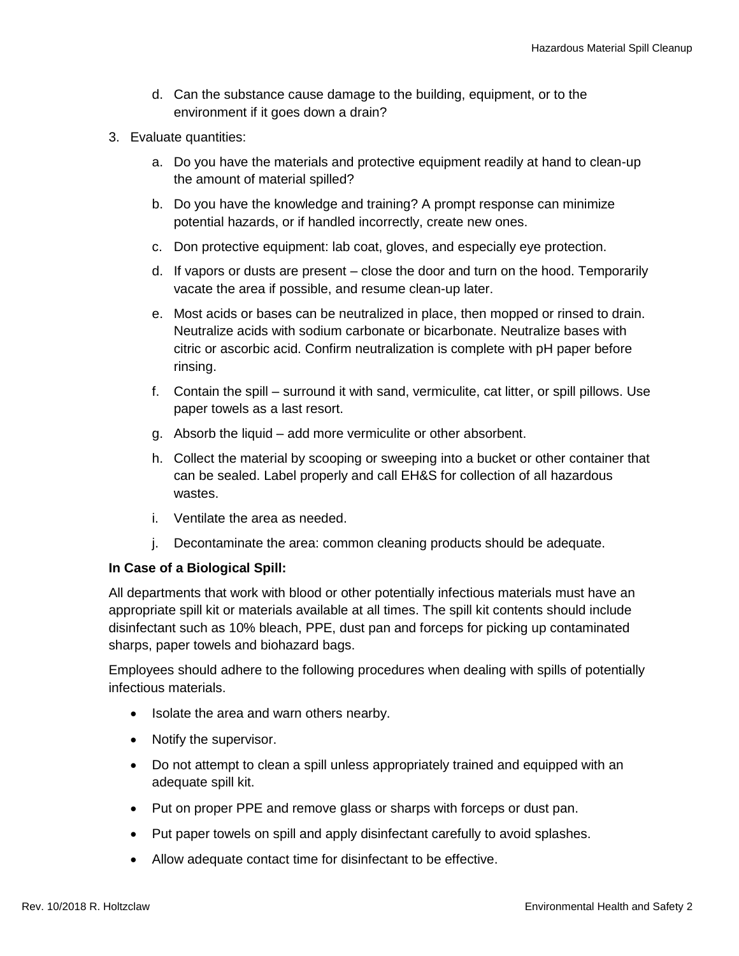- d. Can the substance cause damage to the building, equipment, or to the environment if it goes down a drain?
- 3. Evaluate quantities:
	- a. Do you have the materials and protective equipment readily at hand to clean-up the amount of material spilled?
	- b. Do you have the knowledge and training? A prompt response can minimize potential hazards, or if handled incorrectly, create new ones.
	- c. Don protective equipment: lab coat, gloves, and especially eye protection.
	- d. If vapors or dusts are present close the door and turn on the hood. Temporarily vacate the area if possible, and resume clean-up later.
	- e. Most acids or bases can be neutralized in place, then mopped or rinsed to drain. Neutralize acids with sodium carbonate or bicarbonate. Neutralize bases with citric or ascorbic acid. Confirm neutralization is complete with pH paper before rinsing.
	- f. Contain the spill surround it with sand, vermiculite, cat litter, or spill pillows. Use paper towels as a last resort.
	- g. Absorb the liquid add more vermiculite or other absorbent.
	- h. Collect the material by scooping or sweeping into a bucket or other container that can be sealed. Label properly and call EH&S for collection of all hazardous wastes.
	- i. Ventilate the area as needed.
	- j. Decontaminate the area: common cleaning products should be adequate.

### **In Case of a Biological Spill:**

All departments that work with blood or other potentially infectious materials must have an appropriate spill kit or materials available at all times. The spill kit contents should include disinfectant such as 10% bleach, PPE, dust pan and forceps for picking up contaminated sharps, paper towels and biohazard bags.

Employees should adhere to the following procedures when dealing with spills of potentially infectious materials.

- Isolate the area and warn others nearby.
- Notify the supervisor.
- Do not attempt to clean a spill unless appropriately trained and equipped with an adequate spill kit.
- Put on proper PPE and remove glass or sharps with forceps or dust pan.
- Put paper towels on spill and apply disinfectant carefully to avoid splashes.
- Allow adequate contact time for disinfectant to be effective.